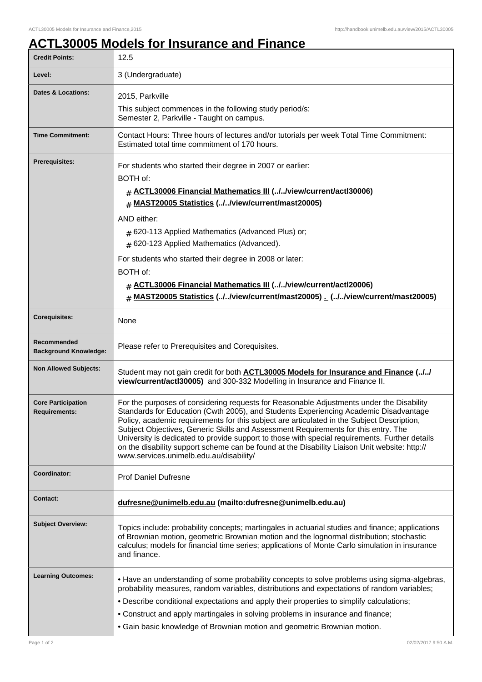## **ACTL30005 Models for Insurance and Finance**

| <b>Credit Points:</b>                             | 12.5                                                                                                                                                                                                                                                                                                                                                                                                                                                                                                                                                                                                               |
|---------------------------------------------------|--------------------------------------------------------------------------------------------------------------------------------------------------------------------------------------------------------------------------------------------------------------------------------------------------------------------------------------------------------------------------------------------------------------------------------------------------------------------------------------------------------------------------------------------------------------------------------------------------------------------|
| Level:                                            | 3 (Undergraduate)                                                                                                                                                                                                                                                                                                                                                                                                                                                                                                                                                                                                  |
| Dates & Locations:                                | 2015, Parkville<br>This subject commences in the following study period/s:<br>Semester 2, Parkville - Taught on campus.                                                                                                                                                                                                                                                                                                                                                                                                                                                                                            |
| <b>Time Commitment:</b>                           | Contact Hours: Three hours of lectures and/or tutorials per week Total Time Commitment:                                                                                                                                                                                                                                                                                                                                                                                                                                                                                                                            |
|                                                   | Estimated total time commitment of 170 hours.                                                                                                                                                                                                                                                                                                                                                                                                                                                                                                                                                                      |
| <b>Prerequisites:</b>                             | For students who started their degree in 2007 or earlier:                                                                                                                                                                                                                                                                                                                                                                                                                                                                                                                                                          |
|                                                   | BOTH of:                                                                                                                                                                                                                                                                                                                                                                                                                                                                                                                                                                                                           |
|                                                   | # ACTL30006 Financial Mathematics III (.J. Jview/current/actl30006)<br><b>MAST20005 Statistics (//view/current/mast20005)</b><br>#                                                                                                                                                                                                                                                                                                                                                                                                                                                                                 |
|                                                   | AND either:                                                                                                                                                                                                                                                                                                                                                                                                                                                                                                                                                                                                        |
|                                                   | # 620-113 Applied Mathematics (Advanced Plus) or;                                                                                                                                                                                                                                                                                                                                                                                                                                                                                                                                                                  |
|                                                   | # 620-123 Applied Mathematics (Advanced).                                                                                                                                                                                                                                                                                                                                                                                                                                                                                                                                                                          |
|                                                   | For students who started their degree in 2008 or later:                                                                                                                                                                                                                                                                                                                                                                                                                                                                                                                                                            |
|                                                   | BOTH of:                                                                                                                                                                                                                                                                                                                                                                                                                                                                                                                                                                                                           |
|                                                   | # ACTL30006 Financial Mathematics III (.J.Jview/current/actl20006)<br>MAST20005 Statistics (.J/view/current/mast20005) _ (.J/view/current/mast20005)<br>#                                                                                                                                                                                                                                                                                                                                                                                                                                                          |
| <b>Corequisites:</b>                              | None                                                                                                                                                                                                                                                                                                                                                                                                                                                                                                                                                                                                               |
| Recommended<br><b>Background Knowledge:</b>       | Please refer to Prerequisites and Corequisites.                                                                                                                                                                                                                                                                                                                                                                                                                                                                                                                                                                    |
| <b>Non Allowed Subjects:</b>                      | Student may not gain credit for both <b>ACTL30005 Models for Insurance and Finance (//</b><br>view/current/actl30005) and 300-332 Modelling in Insurance and Finance II.                                                                                                                                                                                                                                                                                                                                                                                                                                           |
| <b>Core Participation</b><br><b>Requirements:</b> | For the purposes of considering requests for Reasonable Adjustments under the Disability<br>Standards for Education (Cwth 2005), and Students Experiencing Academic Disadvantage<br>Policy, academic requirements for this subject are articulated in the Subject Description,<br>Subject Objectives, Generic Skills and Assessment Requirements for this entry. The<br>University is dedicated to provide support to those with special requirements. Further details<br>on the disability support scheme can be found at the Disability Liaison Unit website: http://<br>www.services.unimelb.edu.au/disability/ |
| Coordinator:                                      | <b>Prof Daniel Dufresne</b>                                                                                                                                                                                                                                                                                                                                                                                                                                                                                                                                                                                        |
| <b>Contact:</b>                                   | dufresne@unimelb.edu.au (mailto:dufresne@unimelb.edu.au)                                                                                                                                                                                                                                                                                                                                                                                                                                                                                                                                                           |
| <b>Subject Overview:</b>                          | Topics include: probability concepts; martingales in actuarial studies and finance; applications<br>of Brownian motion, geometric Brownian motion and the lognormal distribution; stochastic<br>calculus; models for financial time series; applications of Monte Carlo simulation in insurance<br>and finance.                                                                                                                                                                                                                                                                                                    |
| <b>Learning Outcomes:</b>                         | • Have an understanding of some probability concepts to solve problems using sigma-algebras,<br>probability measures, random variables, distributions and expectations of random variables;<br>. Describe conditional expectations and apply their properties to simplify calculations;<br>• Construct and apply martingales in solving problems in insurance and finance;<br>• Gain basic knowledge of Brownian motion and geometric Brownian motion.                                                                                                                                                             |